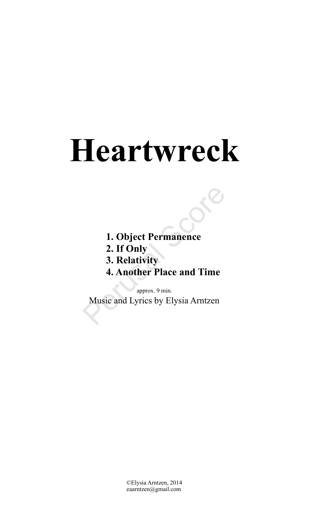- **1. Object Permanence**
- **2. If Only**
- **3. Relativity**
- **4. Another Place and Time**

approx. 9 min.

Music and Lyrics by Elysia Arntzen 1. Object Permanence<br>
2. If Only<br>
3. Relativity<br>
4. Another Place and Time<br>  $\frac{\text{approx. 9 min.}}{\text{approx. 9 min.}}$ <br>
Music and Lyrics by Elysia Arntzen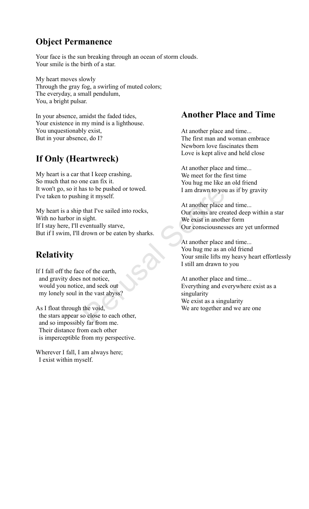## **Object Permanence**

Your face is the sun breaking through an ocean of storm clouds. Your smile is the birth of a star.

My heart moves slowly Through the gray fog, a swirling of muted colors; The everyday, a small pendulum, You, a bright pulsar.

In your absence, amidst the faded tides, Your existence in my mind is a lighthouse. You unquestionably exist, But in your absence, do I?

## **If Only (Heartwreck)**

My heart is a car that I keep crashing, So much that no one can fix it. It won't go, so it has to be pushed or towed. I've taken to pushing it myself.

My heart is a ship that I've sailed into rocks, With no harbor in sight. If I stay here, I'll eventually starve, But if I swim, I'll drown or be eaten by sharks. as to be pushed or towed.<br>
I am drawn to you<br>
mg it myself.<br>
that I've sailed into rocks,<br>
Score of the earth,<br>
The expection of the earth,<br>
that is a set our consciousnes<br>
At another place a<br>
You hug me as an<br>
Your smile

#### **Relativity**

If I fall off the face of the earth, and gravity does not notice, would you notice, and seek out my lonely soul in the vast abyss?

As I float through the void, the stars appear so close to each other, and so impossibly far from me. Their distance from each other is imperceptible from my perspective.

Wherever I fall, I am always here; I exist within myself.

## **Another Place and Time**

At another place and time... The first man and woman embrace Newborn love fascinates them Love is kept alive and held close

At another place and time... We meet for the first time You hug me like an old friend I am drawn to you as if by gravity

At another place and time... Our atoms are created deep within a star We exist in another form Our consciousnesses are yet unformed

At another place and time... You hug me as an old friend Your smile lifts my heavy heart effortlessly I still am drawn to you

At another place and time... Everything and everywhere exist as a singularity We exist as a singularity We are together and we are one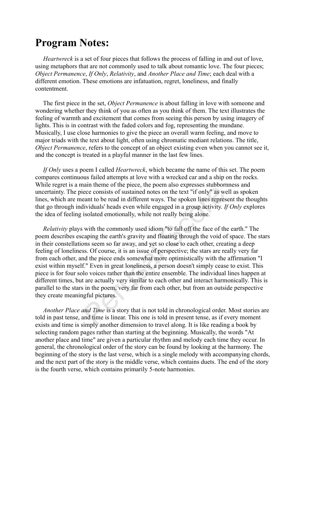## **Program Notes:**

 *Heartwreck* is a set of four pieces that follows the process of falling in and out of love, using metaphors that are not commonly used to talk about romantic love. The four pieces; *Object Permanence*, *If Only*, *Relativity*, and *Another Place and Time*; each deal with a different emotion. These emotions are infatuation, regret, loneliness, and finally contentment.

 The first piece in the set, *Object Permanence* is about falling in love with someone and wondering whether they think of you as often as you think of them. The text illustrates the feeling of warmth and excitement that comes from seeing this person by using imagery of lights. This is in contrast with the faded colors and fog, representing the mundane. Musically, I use close harmonies to give the piece an overall warm feeling, and move to major triads with the text about light, often using chromatic mediant relations. The title, *Object Permanence*, refers to the concept of an object existing even when you cannot see it, and the concept is treated in a playful manner in the last few lines.

 *If Only* uses a poem I called *Heartwreck*, which became the name of this set. The poem compares continuous failed attempts at love with a wrecked car and a ship on the rocks. While regret is a main theme of the piece, the poem also expresses stubbornness and uncertainty. The piece consists of sustained notes on the text "if only" as well as spoken lines, which are meant to be read in different ways. The spoken lines represent the thoughts that go through individuals' heads even while engaged in a group activity. *If Only* explores the idea of feeling isolated emotionally, while not really being alone.

 *Relativity* plays with the commonly used idiom "to fall off the face of the earth." The poem describes escaping the earth's gravity and floating through the void of space. The stars in their constellations seem so far away, and yet so close to each other, creating a deep feeling of loneliness. Of course, it is an issue of perspective; the stars are really very far from each other, and the piece ends somewhat more optimistically with the affirmation "I exist within myself." Even in great loneliness, a person doesn't simply cease to exist. This piece is for four solo voices rather than the entire ensemble. The individual lines happen at different times, but are actually very similar to each other and interact harmonically. This is parallel to the stars in the poem, very far from each other, but from an outside perspective they create meaningful pictures. the method of the preced, the point and consists of sustained notes on the text "if only" as we<br>ecce consists of sustained notes on the text "if only" as we<br>eart to be read in different ways. The spoken lines repres<br>livid

 *Another Place and Time* is a story that is not told in chronological order. Most stories are told in past tense, and time is linear. This one is told in present tense, as if every moment exists and time is simply another dimension to travel along. It is like reading a book by selecting random pages rather than starting at the beginning. Musically, the words "At another place and time" are given a particular rhythm and melody each time they occur. In general, the chronological order of the story can be found by looking at the harmony. The beginning of the story is the last verse, which is a single melody with accompanying chords, and the next part of the story is the middle verse, which contains duets. The end of the story is the fourth verse, which contains primarily 5-note harmonies.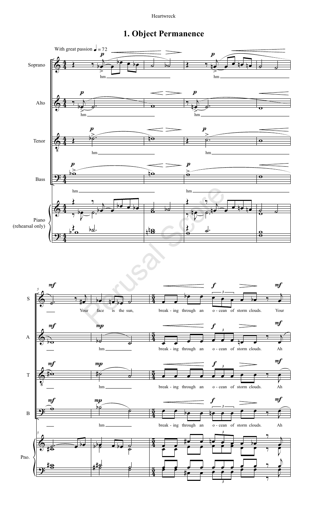#### **1. Object Permanence**



 $\frac{2}{4}$  $\bar{5}$   $\frac{1}{\gamma}$ e<br>R

*3*

**ð** 

<u>ș:</u>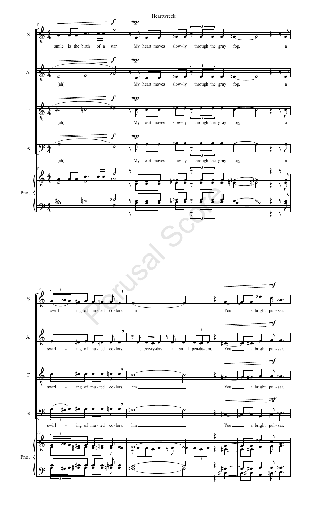

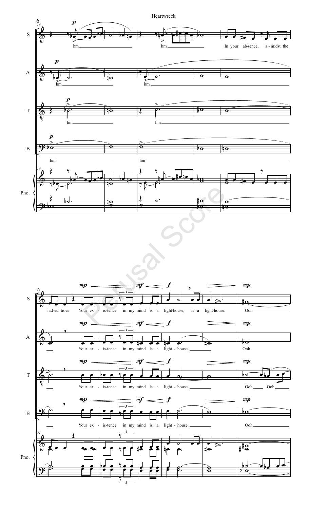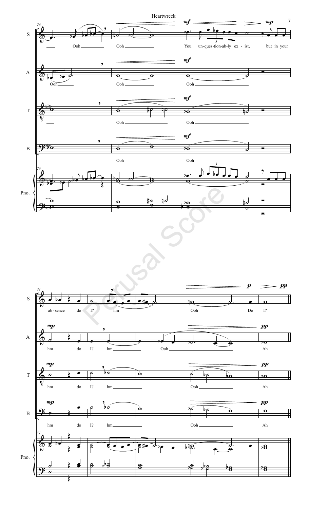

8

Pno.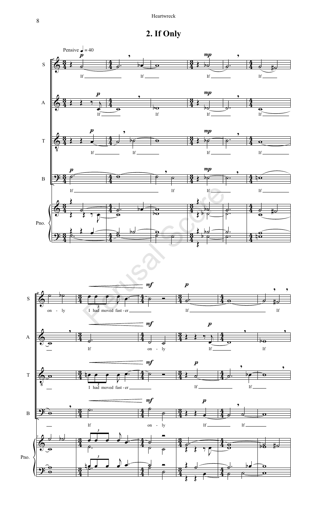

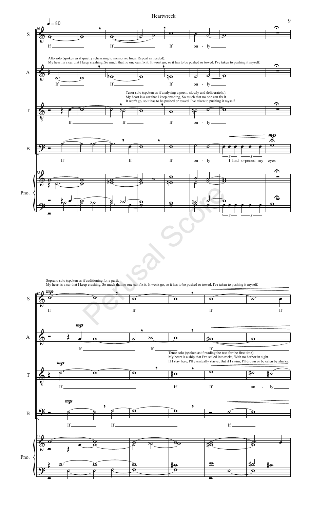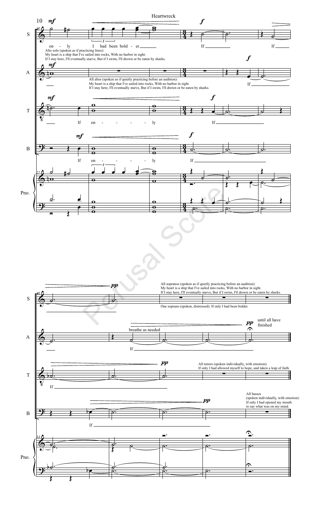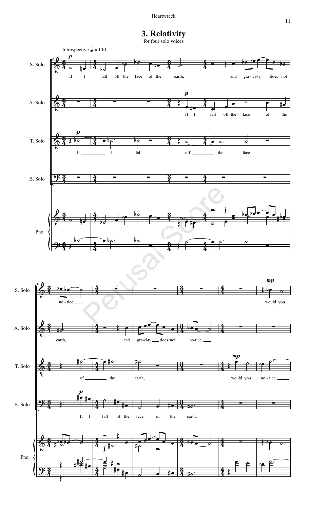#### **3. Relativity**



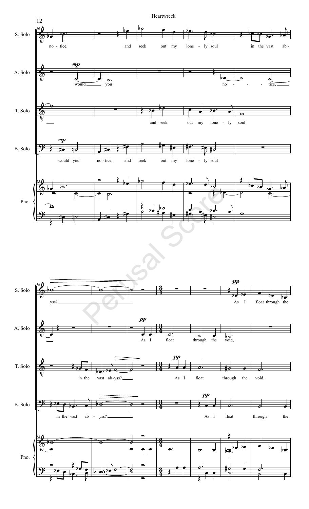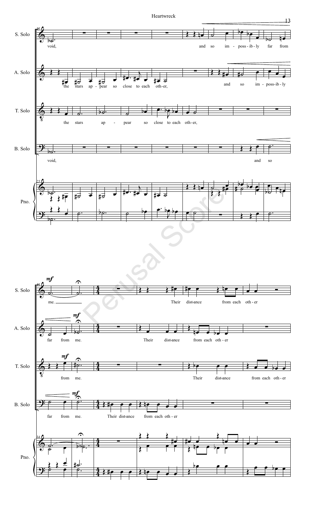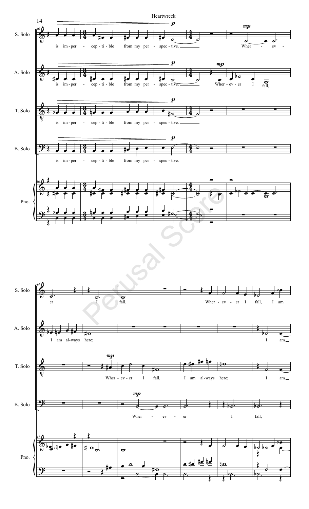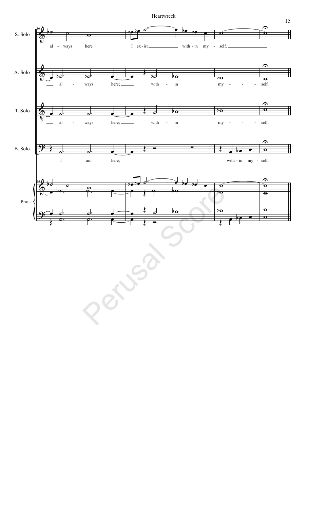

15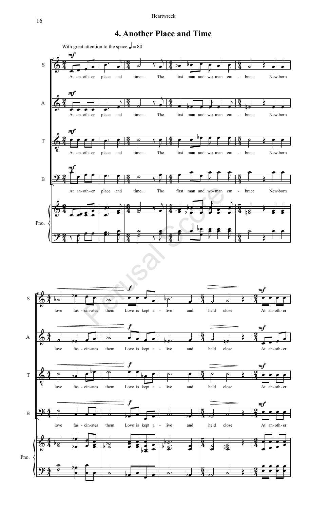#### **4. Another Place and Time**

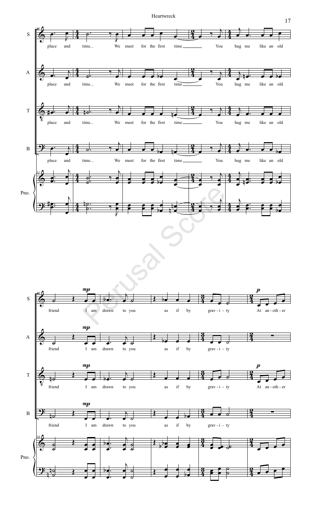



17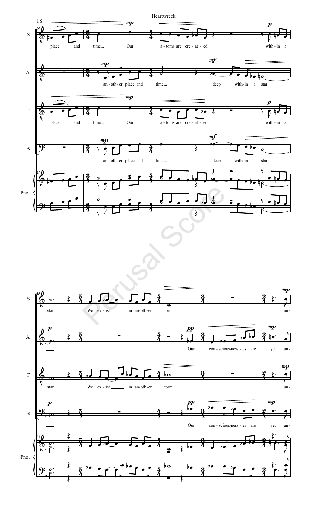

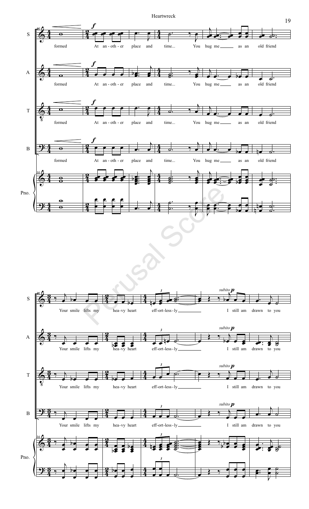

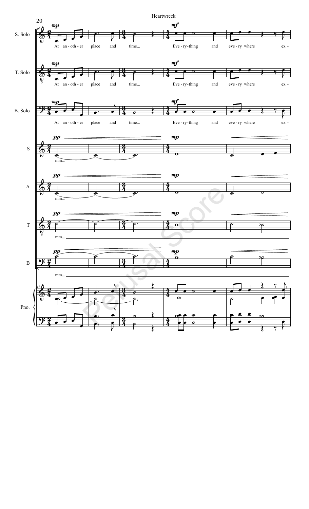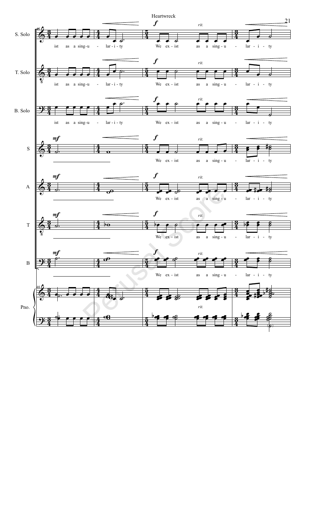